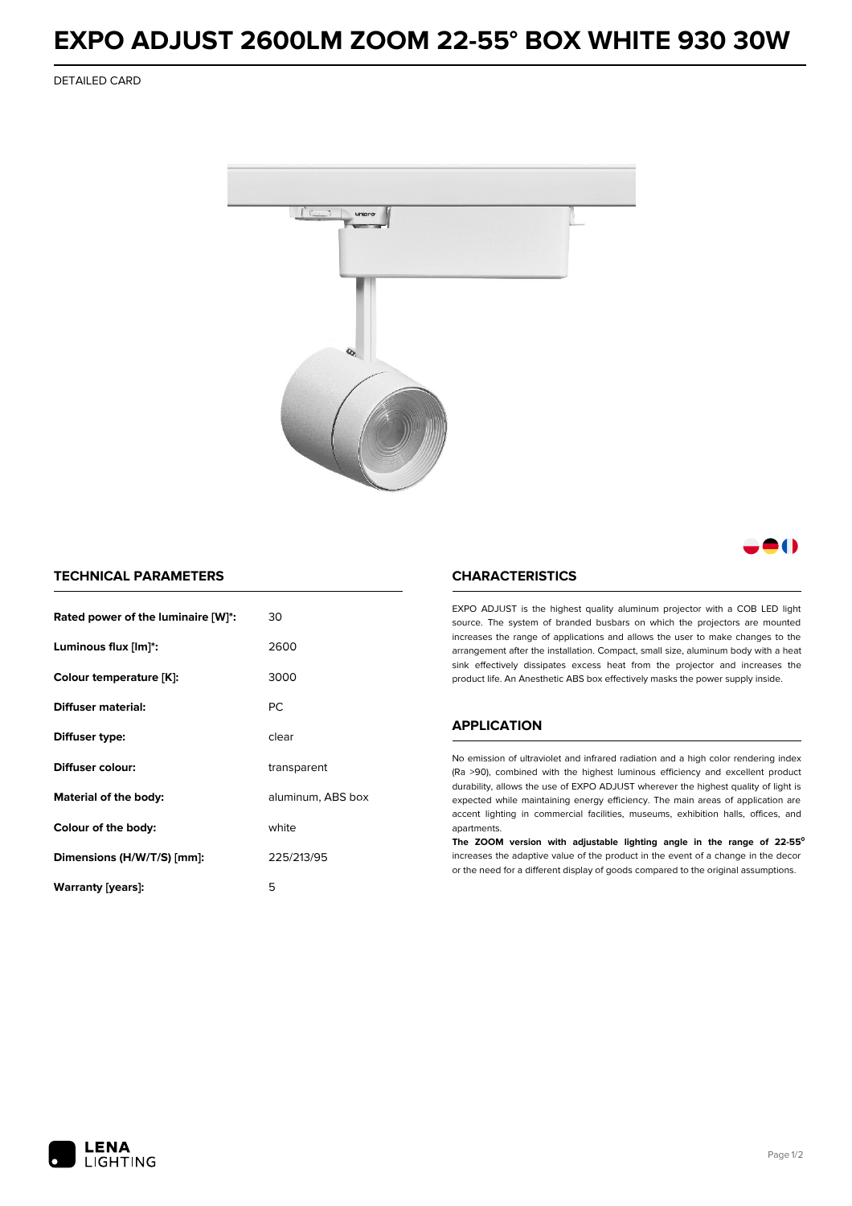## **EXPO ADJUST 2600LM ZOOM 22-55° BOX WHITE 930 30W**

DETAILED CARD



M

## **TECHNICAL PARAMETERS**

| Rated power of the luminaire [W]*: | 30                |  |
|------------------------------------|-------------------|--|
| Luminous flux [lm]*:               | 2600              |  |
| Colour temperature [K]:            | 3000              |  |
| Diffuser material:                 | <b>PC</b>         |  |
| Diffuser type:                     | clear             |  |
| Diffuser colour:                   | transparent       |  |
| Material of the body:              | aluminum, ABS box |  |
| white<br>Colour of the body:       |                   |  |
| Dimensions (H/W/T/S) [mm]:         | 225/213/95        |  |
| Warranty [years]:                  | 5                 |  |

### **CHARACTERISTICS**

EXPO ADJUST is the highest quality aluminum projector with a COB LED light source. The system of branded busbars on which the projectors are mounted increases the range of applications and allows the user to make changes to the arrangement after the installation. Compact, small size, aluminum body with a heat sink effectively dissipates excess heat from the projector and increases the product life. An Anesthetic ABS box effectively masks the power supply inside.

#### **APPLICATION**

No emission of ultraviolet and infrared radiation and a high color rendering index (Ra >90), combined with the highest luminous efficiency and excellent product durability, allows the use of EXPO ADJUST wherever the highest quality of light is expected while maintaining energy efficiency. The main areas of application are accent lighting in commercial facilities, museums, exhibition halls, offices, and apartments.

**The ZOOM version with adjustable lighting angle in the range of 22-55⁰** increases the adaptive value of the product in the event of a change in the decor or the need for a different display of goods compared to the original assumptions.